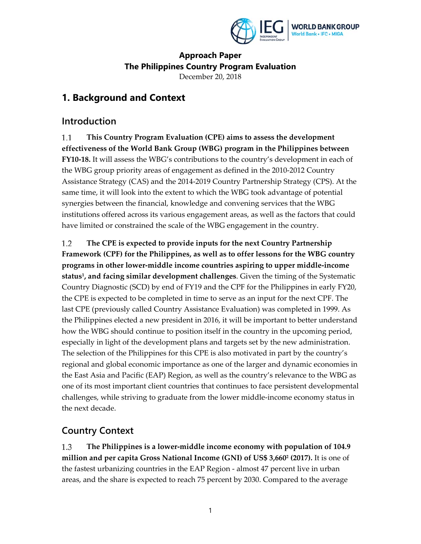

### **Approach Paper The Philippines Country Program Evaluation**  December 20, 2018

## **1. Background and Context**

### **Introduction**

 $1.1$ **This Country Program Evaluation (CPE) aims to assess the development effectiveness of the World Bank Group (WBG) program in the Philippines between FY10‐18.** It will assess the WBG's contributions to the country's development in each of the WBG group priority areas of engagement as defined in the 2010‐2012 Country Assistance Strategy (CAS) and the 2014‐2019 Country Partnership Strategy (CPS). At the same time, it will look into the extent to which the WBG took advantage of potential synergies between the financial, knowledge and convening services that the WBG institutions offered across its various engagement areas, as well as the factors that could have limited or constrained the scale of the WBG engagement in the country.

 $1.2$ **The CPE is expected to provide inputs for the next Country Partnership Framework (CPF) for the Philippines, as well as to offer lessons for the WBG country programs in other lower‐middle income countries aspiring to upper middle‐income status1, and facing similar development challenges**. Given the timing of the Systematic Country Diagnostic (SCD) by end of FY19 and the CPF for the Philippines in early FY20, the CPE is expected to be completed in time to serve as an input for the next CPF. The last CPE (previously called Country Assistance Evaluation) was completed in 1999. As the Philippines elected a new president in 2016, it will be important to better understand how the WBG should continue to position itself in the country in the upcoming period, especially in light of the development plans and targets set by the new administration. The selection of the Philippines for this CPE is also motivated in part by the country's regional and global economic importance as one of the larger and dynamic economies in the East Asia and Pacific (EAP) Region, as well as the country's relevance to the WBG as one of its most important client countries that continues to face persistent developmental challenges, while striving to graduate from the lower middle‐income economy status in the next decade.

## **Country Context**

1.3 **The Philippines is a lower‐middle income economy with population of 104.9 million and per capita Gross National Income (GNI) of US\$ 3,6602 (2017).** It is one of the fastest urbanizing countries in the EAP Region ‐ almost 47 percent live in urban areas, and the share is expected to reach 75 percent by 2030. Compared to the average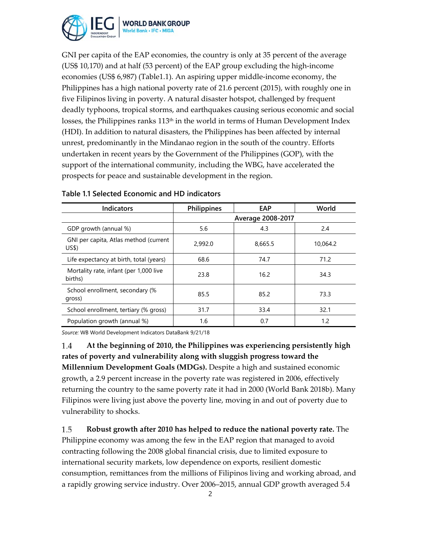

GNI per capita of the EAP economies, the country is only at 35 percent of the average (US\$ 10,170) and at half (53 percent) of the EAP group excluding the high‐income economies (US\$ 6,987) (Table1.1). An aspiring upper middle‐income economy, the Philippines has a high national poverty rate of 21.6 percent (2015), with roughly one in five Filipinos living in poverty. A natural disaster hotspot, challenged by frequent deadly typhoons, tropical storms, and earthquakes causing serious economic and social losses, the Philippines ranks 113<sup>th</sup> in the world in terms of Human Development Index (HDI). In addition to natural disasters, the Philippines has been affected by internal unrest, predominantly in the Mindanao region in the south of the country. Efforts undertaken in recent years by the Government of the Philippines (GOP), with the support of the international community, including the WBG, have accelerated the prospects for peace and sustainable development in the region.

| <b>Indicators</b>                                 | <b>Philippines</b> | EAP               | World    |
|---------------------------------------------------|--------------------|-------------------|----------|
|                                                   |                    | Average 2008-2017 |          |
| GDP growth (annual %)                             | 5.6                | 4.3               | 2.4      |
| GNI per capita, Atlas method (current<br>US\$)    | 2,992.0            | 8,665.5           | 10.064.2 |
| Life expectancy at birth, total (years)           | 68.6               | 74.7              | 71.2     |
| Mortality rate, infant (per 1,000 live<br>births) | 23.8               | 16.2              | 34.3     |
| School enrollment, secondary (%<br>gross)         | 85.5               | 85.2              | 73.3     |
| School enrollment, tertiary (% gross)             | 31.7               | 33.4              | 32.1     |
| Population growth (annual %)                      | 1.6                | 0.7               | 1.2      |

### **Table 1.1 Selected Economic and HD indicators**

*Source:* WB World Development Indicators DataBank 9/21/18

**At the beginning of 2010, the Philippines was experiencing persistently high** 1.4 **rates of poverty and vulnerability along with sluggish progress toward the Millennium Development Goals (MDGs).** Despite a high and sustained economic growth, a 2.9 percent increase in the poverty rate was registered in 2006, effectively returning the country to the same poverty rate it had in 2000 (World Bank 2018b). Many Filipinos were living just above the poverty line, moving in and out of poverty due to vulnerability to shocks.

1.5 **Robust growth after 2010 has helped to reduce the national poverty rate.** The Philippine economy was among the few in the EAP region that managed to avoid contracting following the 2008 global financial crisis, due to limited exposure to international security markets, low dependence on exports, resilient domestic consumption, remittances from the millions of Filipinos living and working abroad, and a rapidly growing service industry. Over 2006–2015, annual GDP growth averaged 5.4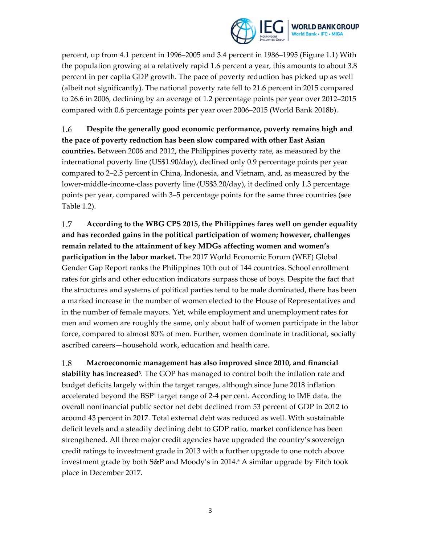

percent, up from 4.1 percent in 1996–2005 and 3.4 percent in 1986–1995 (Figure 1.1) With the population growing at a relatively rapid 1.6 percent a year, this amounts to about 3.8 percent in per capita GDP growth. The pace of poverty reduction has picked up as well (albeit not significantly). The national poverty rate fell to 21.6 percent in 2015 compared to 26.6 in 2006, declining by an average of 1.2 percentage points per year over 2012–2015 compared with 0.6 percentage points per year over 2006–2015 (World Bank 2018b).

1.6 **Despite the generally good economic performance, poverty remains high and the pace of poverty reduction has been slow compared with other East Asian countries.** Between 2006 and 2012, the Philippines poverty rate, as measured by the international poverty line (US\$1.90/day), declined only 0.9 percentage points per year compared to 2–2.5 percent in China, Indonesia, and Vietnam, and, as measured by the lower‐middle‐income‐class poverty line (US\$3.20/day), it declined only 1.3 percentage points per year, compared with 3–5 percentage points for the same three countries (see Table 1.2).

**According to the WBG CPS 2015, the Philippines fares well on gender equality** 1.7 **and has recorded gains in the political participation of women; however, challenges remain related to the attainment of key MDGs affecting women and women's participation in the labor market.** The 2017 World Economic Forum (WEF) Global Gender Gap Report ranks the Philippines 10th out of 144 countries. School enrollment rates for girls and other education indicators surpass those of boys. Despite the fact that the structures and systems of political parties tend to be male dominated, there has been a marked increase in the number of women elected to the House of Representatives and in the number of female mayors. Yet, while employment and unemployment rates for men and women are roughly the same, only about half of women participate in the labor force, compared to almost 80% of men. Further, women dominate in traditional, socially ascribed careers—household work, education and health care.

1.8 **Macroeconomic management has also improved since 2010, and financial stability has increased3**. The GOP has managed to control both the inflation rate and budget deficits largely within the target ranges, although since June 2018 inflation accelerated beyond the BSP<sup>4</sup> target range of 2-4 per cent. According to IMF data, the overall nonfinancial public sector net debt declined from 53 percent of GDP in 2012 to around 43 percent in 2017. Total external debt was reduced as well. With sustainable deficit levels and a steadily declining debt to GDP ratio, market confidence has been strengthened. All three major credit agencies have upgraded the country's sovereign credit ratings to investment grade in 2013 with a further upgrade to one notch above investment grade by both  $S\&P$  and Moody's in 2014.<sup>5</sup> A similar upgrade by Fitch took place in December 2017.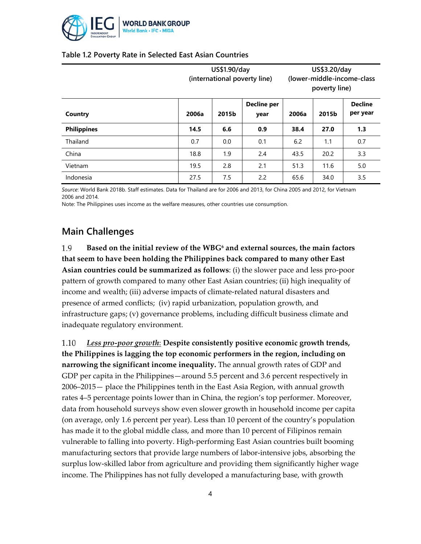

|                    | US\$1.90/day<br>(international poverty line) |     |                | US\$3.20/day<br>(lower-middle-income-class<br>poverty line) |                            |     |
|--------------------|----------------------------------------------|-----|----------------|-------------------------------------------------------------|----------------------------|-----|
| Country            | Decline per<br>2015b<br>2006a<br>year        |     | 2015b<br>2006a |                                                             | <b>Decline</b><br>per year |     |
| <b>Philippines</b> | 14.5                                         | 6.6 | 0.9            | 38.4                                                        | 27.0                       | 1.3 |
| Thailand           | 0.7                                          | 0.0 | 0.1            | 6.2                                                         | 1.1                        | 0.7 |
| China              | 18.8                                         | 1.9 | 2.4            | 43.5                                                        | 20.2                       | 3.3 |
| Vietnam            | 19.5                                         | 2.8 | 2.1            | 51.3                                                        | 11.6                       | 5.0 |
| Indonesia          | 27.5                                         | 7.5 | 2.2            | 65.6                                                        | 34.0                       | 3.5 |

### **Table 1.2 Poverty Rate in Selected East Asian Countries**

*Source*: World Bank 2018b. Staff estimates. Data for Thailand are for 2006 and 2013, for China 2005 and 2012, for Vietnam 2006 and 2014.

Note: The Philippines uses income as the welfare measures, other countries use consumption.

## **Main Challenges**

1.9 **Based on the initial review of the WBG6 and external sources, the main factors that seem to have been holding the Philippines back compared to many other East Asian countries could be summarized as follows**: (i) the slower pace and less pro‐poor pattern of growth compared to many other East Asian countries; (ii) high inequality of income and wealth; (iii) adverse impacts of climate‐related natural disasters and presence of armed conflicts; (iv) rapid urbanization, population growth, and infrastructure gaps; (v) governance problems, including difficult business climate and inadequate regulatory environment.

1.10 *Less pro‐poor growth*: **Despite consistently positive economic growth trends, the Philippines is lagging the top economic performers in the region, including on narrowing the significant income inequality.** The annual growth rates of GDP and GDP per capita in the Philippines—around 5.5 percent and 3.6 percent respectively in 2006–2015— place the Philippines tenth in the East Asia Region, with annual growth rates 4–5 percentage points lower than in China, the region's top performer. Moreover, data from household surveys show even slower growth in household income per capita (on average, only 1.6 percent per year). Less than 10 percent of the country's population has made it to the global middle class, and more than 10 percent of Filipinos remain vulnerable to falling into poverty. High‐performing East Asian countries built booming manufacturing sectors that provide large numbers of labor‐intensive jobs, absorbing the surplus low-skilled labor from agriculture and providing them significantly higher wage income. The Philippines has not fully developed a manufacturing base, with growth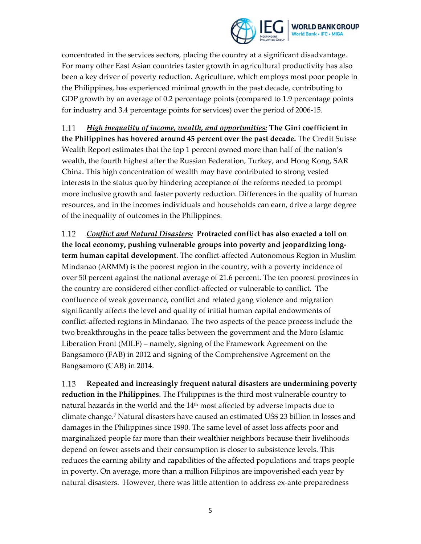

concentrated in the services sectors, placing the country at a significant disadvantage. For many other East Asian countries faster growth in agricultural productivity has also been a key driver of poverty reduction. Agriculture, which employs most poor people in the Philippines, has experienced minimal growth in the past decade, contributing to GDP growth by an average of 0.2 percentage points (compared to 1.9 percentage points for industry and 3.4 percentage points for services) over the period of 2006‐15.

1.11 *High inequality of income, wealth, and opportunities:* **The Gini coefficient in the Philippines has hovered around 45 percent over the past decade.** The Credit Suisse Wealth Report estimates that the top 1 percent owned more than half of the nation's wealth, the fourth highest after the Russian Federation, Turkey, and Hong Kong, SAR China. This high concentration of wealth may have contributed to strong vested interests in the status quo by hindering acceptance of the reforms needed to prompt more inclusive growth and faster poverty reduction. Differences in the quality of human resources, and in the incomes individuals and households can earn, drive a large degree of the inequality of outcomes in the Philippines.

*Conflict and Natural Disasters:* **Protracted conflict has also exacted a toll on** 1.12 **the local economy, pushing vulnerable groups into poverty and jeopardizing long‐ term human capital development**. The conflict‐affected Autonomous Region in Muslim Mindanao (ARMM) is the poorest region in the country, with a poverty incidence of over 50 percent against the national average of 21.6 percent. The ten poorest provinces in the country are considered either conflict‐affected or vulnerable to conflict. The confluence of weak governance, conflict and related gang violence and migration significantly affects the level and quality of initial human capital endowments of conflict‐affected regions in Mindanao. The two aspects of the peace process include the two breakthroughs in the peace talks between the government and the Moro Islamic Liberation Front (MILF) – namely, signing of the Framework Agreement on the Bangsamoro (FAB) in 2012 and signing of the Comprehensive Agreement on the Bangsamoro (CAB) in 2014.

**Repeated and increasingly frequent natural disasters are undermining poverty** 1.13 **reduction in the Philippines**. The Philippines is the third most vulnerable country to natural hazards in the world and the  $14<sup>th</sup>$  most affected by adverse impacts due to climate change.7 Natural disasters have caused an estimated US\$ 23 billion in losses and damages in the Philippines since 1990. The same level of asset loss affects poor and marginalized people far more than their wealthier neighbors because their livelihoods depend on fewer assets and their consumption is closer to subsistence levels. This reduces the earning ability and capabilities of the affected populations and traps people in poverty. On average, more than a million Filipinos are impoverished each year by natural disasters. However, there was little attention to address ex-ante preparedness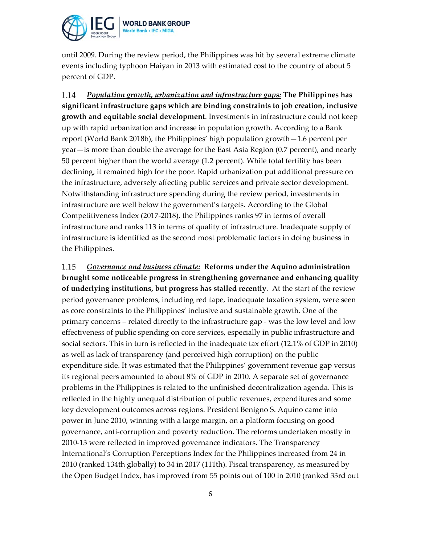

until 2009. During the review period, the Philippines was hit by several extreme climate events including typhoon Haiyan in 2013 with estimated cost to the country of about 5 percent of GDP.

1.14 *Population growth, urbanization and infrastructure gaps:* **The Philippines has significant infrastructure gaps which are binding constraints to job creation, inclusive growth and equitable social development**. Investments in infrastructure could not keep up with rapid urbanization and increase in population growth. According to a Bank report (World Bank 2018b), the Philippines' high population growth—1.6 percent per year—is more than double the average for the East Asia Region (0.7 percent), and nearly 50 percent higher than the world average (1.2 percent). While total fertility has been declining, it remained high for the poor. Rapid urbanization put additional pressure on the infrastructure, adversely affecting public services and private sector development. Notwithstanding infrastructure spending during the review period, investments in infrastructure are well below the government's targets. According to the Global Competitiveness Index (2017‐2018), the Philippines ranks 97 in terms of overall infrastructure and ranks 113 in terms of quality of infrastructure. Inadequate supply of infrastructure is identified as the second most problematic factors in doing business in the Philippines.

*Governance and business climate:* **Reforms under the Aquino administration** 1.15 **brought some noticeable progress in strengthening governance and enhancing quality of underlying institutions, but progress has stalled recently**. At the start of the review period governance problems, including red tape, inadequate taxation system, were seen as core constraints to the Philippines' inclusive and sustainable growth. One of the primary concerns – related directly to the infrastructure gap ‐ was the low level and low effectiveness of public spending on core services, especially in public infrastructure and social sectors. This in turn is reflected in the inadequate tax effort (12.1% of GDP in 2010) as well as lack of transparency (and perceived high corruption) on the public expenditure side. It was estimated that the Philippines' government revenue gap versus its regional peers amounted to about 8% of GDP in 2010. A separate set of governance problems in the Philippines is related to the unfinished decentralization agenda. This is reflected in the highly unequal distribution of public revenues, expenditures and some key development outcomes across regions. President Benigno S. Aquino came into power in June 2010, winning with a large margin, on a platform focusing on good governance, anti‐corruption and poverty reduction. The reforms undertaken mostly in 2010‐13 were reflected in improved governance indicators. The Transparency International's Corruption Perceptions Index for the Philippines increased from 24 in 2010 (ranked 134th globally) to 34 in 2017 (111th). Fiscal transparency, as measured by the Open Budget Index, has improved from 55 points out of 100 in 2010 (ranked 33rd out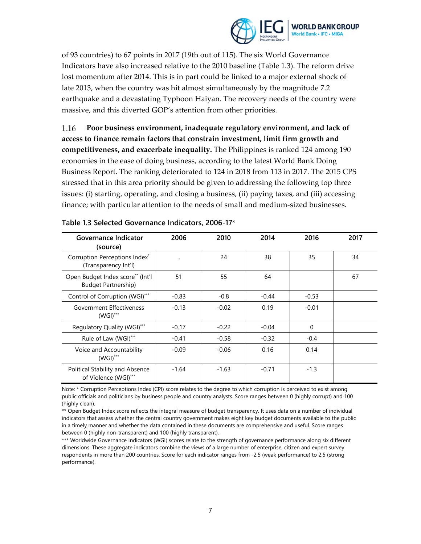

of 93 countries) to 67 points in 2017 (19th out of 115). The six World Governance Indicators have also increased relative to the 2010 baseline (Table 1.3). The reform drive lost momentum after 2014. This is in part could be linked to a major external shock of late 2013, when the country was hit almost simultaneously by the magnitude 7.2 earthquake and a devastating Typhoon Haiyan. The recovery needs of the country were massive, and this diverted GOP's attention from other priorities.

1.16 **Poor business environment, inadequate regulatory environment, and lack of access to finance remain factors that constrain investment, limit firm growth and competitiveness, and exacerbate inequality.** The Philippines is ranked 124 among 190 economies in the ease of doing business, according to the latest World Bank Doing Business Report. The ranking deteriorated to 124 in 2018 from 113 in 2017. The 2015 CPS stressed that in this area priority should be given to addressing the following top three issues: (i) starting, operating, and closing a business, (ii) paying taxes, and (iii) accessing finance; with particular attention to the needs of small and medium‐sized businesses.

| <b>Governance Indicator</b><br>(source)                        | 2006    | 2010    | 2014    | 2016     | 2017 |
|----------------------------------------------------------------|---------|---------|---------|----------|------|
| Corruption Perceptions Index*<br>(Transparency Int'l)          |         | 24      | 38      | 35       | 34   |
| Open Budget Index score** (Int'l<br><b>Budget Partnership)</b> | 51      | 55      | 64      |          | 67   |
| Control of Corruption (WGI)***                                 | $-0.83$ | $-0.8$  | $-0.44$ | $-0.53$  |      |
| Government Effectiveness<br>$(WGI)$ ***                        | $-0.13$ | $-0.02$ | 0.19    | $-0.01$  |      |
| Regulatory Quality (WGI)***                                    | $-0.17$ | $-0.22$ | $-0.04$ | $\Omega$ |      |
| Rule of Law (WGI)***                                           | $-0.41$ | $-0.58$ | $-0.32$ | $-0.4$   |      |
| Voice and Accountability<br>$(WGI)$ ***                        | $-0.09$ | $-0.06$ | 0.16    | 0.14     |      |
| Political Stability and Absence<br>of Violence (WGI)***        | $-1.64$ | $-1.63$ | $-0.71$ | $-1.3$   |      |

|  | Table 1.3 Selected Governance Indicators, 2006-17 <sup>8</sup> |  |
|--|----------------------------------------------------------------|--|
|  |                                                                |  |

Note: \* Corruption Perceptions Index (CPI) score relates to the degree to which corruption is perceived to exist among public officials and politicians by business people and country analysts. Score ranges between 0 (highly corrupt) and 100 (highly clean).

\*\* Open Budget Index score reflects the integral measure of budget transparency. It uses data on a number of individual indicators that assess whether the central country government makes eight key budget documents available to the public in a timely manner and whether the data contained in these documents are comprehensive and useful. Score ranges between 0 (highly non-transparent) and 100 (highly transparent).

\*\*\* Worldwide Governance Indicators (WGI) scores relate to the strength of governance performance along six different dimensions. These aggregate indicators combine the views of a large number of enterprise, citizen and expert survey respondents in more than 200 countries. Score for each indicator ranges from -2.5 (weak performance) to 2.5 (strong performance).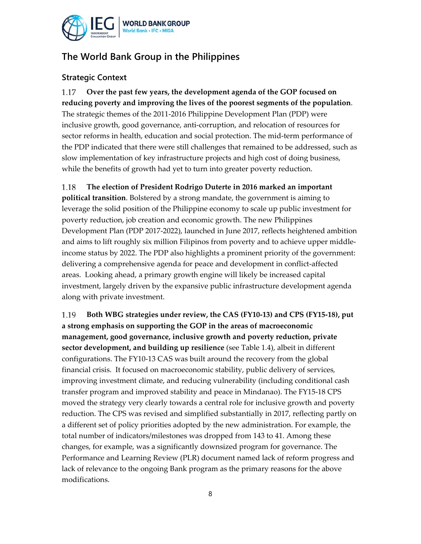

# **The World Bank Group in the Philippines**

### **Strategic Context**

**Over the past few years, the development agenda of the GOP focused on** 1.17 **reducing poverty and improving the lives of the poorest segments of the population**. The strategic themes of the 2011‐2016 Philippine Development Plan (PDP) were inclusive growth, good governance, anti‐corruption, and relocation of resources for sector reforms in health, education and social protection. The mid-term performance of the PDP indicated that there were still challenges that remained to be addressed, such as slow implementation of key infrastructure projects and high cost of doing business, while the benefits of growth had yet to turn into greater poverty reduction.

1.18 **The election of President Rodrigo Duterte in 2016 marked an important**

**political transition**. Bolstered by a strong mandate, the government is aiming to leverage the solid position of the Philippine economy to scale up public investment for poverty reduction, job creation and economic growth. The new Philippines Development Plan (PDP 2017‐2022), launched in June 2017, reflects heightened ambition and aims to lift roughly six million Filipinos from poverty and to achieve upper middle‐ income status by 2022. The PDP also highlights a prominent priority of the government: delivering a comprehensive agenda for peace and development in conflict-affected areas. Looking ahead, a primary growth engine will likely be increased capital investment, largely driven by the expansive public infrastructure development agenda along with private investment.

**Both WBG strategies under review, the CAS (FY10‐13) and CPS (FY15‐18), put** 1.19 **a strong emphasis on supporting the GOP in the areas of macroeconomic management, good governance, inclusive growth and poverty reduction, private sector development, and building up resilience** (see Table 1.4), albeit in different configurations. The FY10‐13 CAS was built around the recovery from the global financial crisis. It focused on macroeconomic stability, public delivery of services*,* improving investment climate, and reducing vulnerability (including conditional cash transfer program and improved stability and peace in Mindanao). The FY15‐18 CPS moved the strategy very clearly towards a central role for inclusive growth and poverty reduction. The CPS was revised and simplified substantially in 2017, reflecting partly on a different set of policy priorities adopted by the new administration. For example, the total number of indicators/milestones was dropped from 143 to 41. Among these changes, for example, was a significantly downsized program for governance. The Performance and Learning Review (PLR) document named lack of reform progress and lack of relevance to the ongoing Bank program as the primary reasons for the above modifications.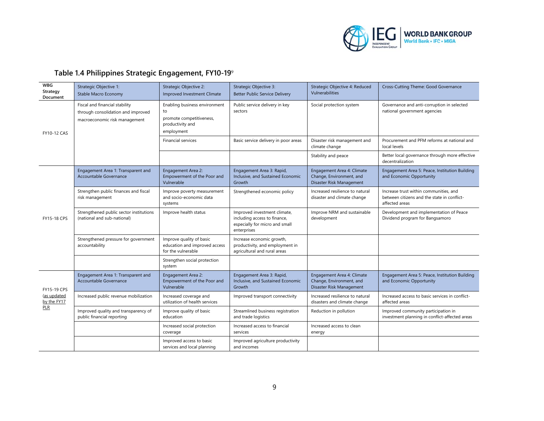

# **Table 1.4 Philippines Strategic Engagement, FY10-19**<sup>9</sup>

| <b>WBG</b><br>Strategy<br>Document                      | Strategic Objective 1:<br>Stable Macro Economy                                                        | Strategic Objective 2:<br><b>Improved Investment Climate</b>                                      | Strategic Objective 3:<br><b>Better Public Service Delivery</b>                                               | Strategic Objective 4: Reduced<br>Vulnerabilities                                  | Cross-Cutting Theme: Good Governance                                                                    |
|---------------------------------------------------------|-------------------------------------------------------------------------------------------------------|---------------------------------------------------------------------------------------------------|---------------------------------------------------------------------------------------------------------------|------------------------------------------------------------------------------------|---------------------------------------------------------------------------------------------------------|
| <b>FY10-12 CAS</b>                                      | Fiscal and financial stability<br>through consolidation and improved<br>macroeconomic risk management | Enabling business environment<br>to<br>promote competitiveness,<br>productivity and<br>employment | Public service delivery in key<br>sectors                                                                     | Social protection system                                                           | Governance and anti-corruption in selected<br>national government agencies                              |
|                                                         |                                                                                                       | <b>Financial services</b>                                                                         | Basic service delivery in poor areas                                                                          | Disaster risk management and<br>climate change                                     | Procurement and PFM reforms at national and<br>local levels                                             |
|                                                         |                                                                                                       |                                                                                                   |                                                                                                               | Stability and peace                                                                | Better local governance through more effective<br>decentralization                                      |
|                                                         | Engagement Area 1: Transparent and<br>Accountable Governance                                          | Engagement Area 2:<br>Empowerment of the Poor and<br>Vulnerable                                   | Engagement Area 3: Rapid,<br>Inclusive, and Sustained Economic<br>Growth                                      | Engagement Area 4: Climate<br>Change, Environment, and<br>Disaster Risk Management | Engagement Area 5: Peace, Institution Building<br>and Economic Opportunity                              |
| <b>FY15-18 CPS</b>                                      | Strengthen public finances and fiscal<br>risk management                                              | Improve poverty measurement<br>and socio-economic data<br>systems                                 | Strengthened economic policy                                                                                  | Increased resilience to natural<br>disaster and climate change                     | Increase trust within communities, and<br>between citizens and the state in conflict-<br>affected areas |
|                                                         | Strengthened public sector institutions<br>(national and sub-national)                                | Improve health status                                                                             | Improved investment climate,<br>including access to finance,<br>especially for micro and small<br>enterprises | Improve NRM and sustainable<br>development                                         | Development and implementation of Peace<br>Dividend program for Bangsamoro                              |
|                                                         | Strengthened pressure for government<br>accountability                                                | Improve quality of basic<br>education and improved access<br>for the vulnerable                   | Increase economic growth,<br>productivity, and employment in<br>agricultural and rural areas                  |                                                                                    |                                                                                                         |
|                                                         |                                                                                                       | Strengthen social protection<br>system                                                            |                                                                                                               |                                                                                    |                                                                                                         |
| <b>FY15-19 CPS</b><br>(as updated<br>by the FY17<br>PLR | Engagement Area 1: Transparent and<br>Accountable Governance                                          | Engagement Area 2:<br>Empowerment of the Poor and<br>Vulnerable                                   | Engagement Area 3: Rapid,<br>Inclusive, and Sustained Economic<br>Growth                                      | Engagement Area 4: Climate<br>Change, Environment, and<br>Disaster Risk Management | Engagement Area 5: Peace, Institution Building<br>and Economic Opportunity                              |
|                                                         | Increased public revenue mobilization                                                                 | Increased coverage and<br>utilization of health services                                          | Improved transport connectivity                                                                               | Increased resilience to natural<br>disasters and climate change                    | Increased access to basic services in conflict-<br>affected areas                                       |
|                                                         | Improved quality and transparency of<br>public financial reporting                                    | Improve quality of basic<br>education                                                             | Streamlined business registration<br>and trade logistics                                                      | Reduction in pollution                                                             | Improved community participation in<br>investment planning in conflict-affected areas                   |
|                                                         |                                                                                                       | Increased social protection<br>coverage                                                           | Increased access to financial<br>services                                                                     | Increased access to clean<br>energy                                                |                                                                                                         |
|                                                         |                                                                                                       | Improved access to basic<br>services and local planning                                           | Improved agriculture productivity<br>and incomes                                                              |                                                                                    |                                                                                                         |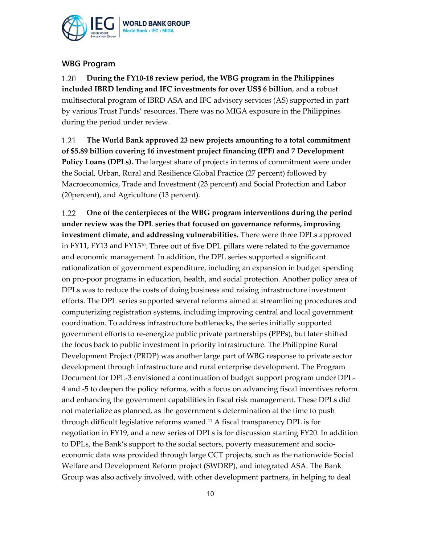

### **WBG Program**

1.20 **During the FY10‐18 review period, the WBG program in the Philippines included IBRD lending and IFC investments for over US\$ 6 billion**, and a robust multisectoral program of IBRD ASA and IFC advisory services (AS) supported in part by various Trust Funds' resources. There was no MIGA exposure in the Philippines during the period under review.

**The World Bank approved 23 new projects amounting to a total commitment** 1.21 **of \$5.89 billion covering 16 investment project financing (IPF) and 7 Development Policy Loans (DPLs).** The largest share of projects in terms of commitment were under the Social, Urban, Rural and Resilience Global Practice (27 percent) followed by Macroeconomics, Trade and Investment (23 percent) and Social Protection and Labor (20percent), and Agriculture (13 percent).

**One of the centerpieces of the WBG program interventions during the period** 1.22 **under review was the DPL series that focused on governance reforms, improving investment climate, and addressing vulnerabilities.** There were three DPLs approved in FY11, FY13 and FY15<sup>10</sup>. Three out of five DPL pillars were related to the governance and economic management. In addition, the DPL series supported a significant rationalization of government expenditure, including an expansion in budget spending on pro‐poor programs in education, health, and social protection. Another policy area of DPLs was to reduce the costs of doing business and raising infrastructure investment efforts. The DPL series supported several reforms aimed at streamlining procedures and computerizing registration systems, including improving central and local government coordination. To address infrastructure bottlenecks, the series initially supported government efforts to re‐energize public private partnerships (PPPs), but later shifted the focus back to public investment in priority infrastructure. The Philippine Rural Development Project (PRDP) was another large part of WBG response to private sector development through infrastructure and rural enterprise development. The Program Document for DPL‐3 envisioned a continuation of budget support program under DPL‐ 4 and ‐5 to deepen the policy reforms, with a focus on advancing fiscal incentives reform and enhancing the government capabilities in fiscal risk management. These DPLs did not materialize as planned, as the governmentʹs determination at the time to push through difficult legislative reforms waned.11 A fiscal transparency DPL is for negotiation in FY19, and a new series of DPLs is for discussion starting FY20. In addition to DPLs, the Bank's support to the social sectors, poverty measurement and socio‐ economic data was provided through large CCT projects, such as the nationwide Social Welfare and Development Reform project (SWDRP), and integrated ASA. The Bank Group was also actively involved, with other development partners, in helping to deal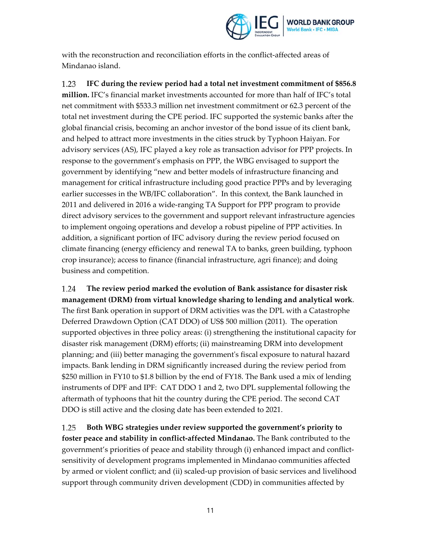

with the reconstruction and reconciliation efforts in the conflict‐affected areas of Mindanao island.

1.23 **IFC during the review period had a total net investment commitment of \$856.8 million.** IFC's financial market investments accounted for more than half of IFC's total net commitment with \$533.3 million net investment commitment or 62.3 percent of the total net investment during the CPE period. IFC supported the systemic banks after the global financial crisis, becoming an anchor investor of the bond issue of its client bank, and helped to attract more investments in the cities struck by Typhoon Haiyan. For advisory services (AS), IFC played a key role as transaction advisor for PPP projects. In response to the government's emphasis on PPP, the WBG envisaged to support the government by identifying "new and better models of infrastructure financing and management for critical infrastructure including good practice PPPs and by leveraging earlier successes in the WB/IFC collaboration". In this context, the Bank launched in 2011 and delivered in 2016 a wide‐ranging TA Support for PPP program to provide direct advisory services to the government and support relevant infrastructure agencies to implement ongoing operations and develop a robust pipeline of PPP activities. In addition, a significant portion of IFC advisory during the review period focused on climate financing (energy efficiency and renewal TA to banks, green building, typhoon crop insurance); access to finance (financial infrastructure, agri finance); and doing business and competition.

1.24 **The review period marked the evolution of Bank assistance for disaster risk management (DRM) from virtual knowledge sharing to lending and analytical work**. The first Bank operation in support of DRM activities was the DPL with a Catastrophe Deferred Drawdown Option (CAT DDO) of US\$ 500 million (2011). The operation supported objectives in three policy areas: (i) strengthening the institutional capacity for disaster risk management (DRM) efforts; (ii) mainstreaming DRM into development planning; and (iii) better managing the governmentʹs fiscal exposure to natural hazard impacts. Bank lending in DRM significantly increased during the review period from \$250 million in FY10 to \$1.8 billion by the end of FY18. The Bank used a mix of lending instruments of DPF and IPF: CAT DDO 1 and 2, two DPL supplemental following the aftermath of typhoons that hit the country during the CPE period. The second CAT DDO is still active and the closing date has been extended to 2021.

1.25 **Both WBG strategies under review supported the government's priority to foster peace and stability in conflict‐affected Mindanao.** The Bank contributed to the government's priorities of peace and stability through (i) enhanced impact and conflict‐ sensitivity of development programs implemented in Mindanao communities affected by armed or violent conflict; and (ii) scaled‐up provision of basic services and livelihood support through community driven development (CDD) in communities affected by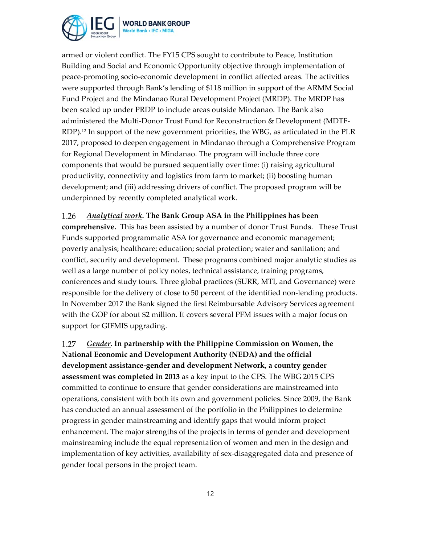

armed or violent conflict. The FY15 CPS sought to contribute to Peace, Institution Building and Social and Economic Opportunity objective through implementation of peace‐promoting socio‐economic development in conflict affected areas. The activities were supported through Bank's lending of \$118 million in support of the ARMM Social Fund Project and the Mindanao Rural Development Project (MRDP). The MRDP has been scaled up under PRDP to include areas outside Mindanao. The Bank also administered the Multi-Donor Trust Fund for Reconstruction & Development (MDTF-RDP).<sup>12</sup> In support of the new government priorities, the WBG, as articulated in the PLR 2017, proposed to deepen engagement in Mindanao through a Comprehensive Program for Regional Development in Mindanao. The program will include three core components that would be pursued sequentially over time: (i) raising agricultural productivity, connectivity and logistics from farm to market; (ii) boosting human development; and (iii) addressing drivers of conflict. The proposed program will be underpinned by recently completed analytical work.

#### *Analytical work.* **The Bank Group ASA in the Philippines has been** 1.26

**comprehensive.** This has been assisted by a number of donor Trust Funds. These Trust Funds supported programmatic ASA for governance and economic management; poverty analysis; healthcare; education; social protection; water and sanitation; and conflict, security and development. These programs combined major analytic studies as well as a large number of policy notes, technical assistance, training programs, conferences and study tours. Three global practices (SURR, MTI, and Governance) were responsible for the delivery of close to 50 percent of the identified non-lending products. In November 2017 the Bank signed the first Reimbursable Advisory Services agreement with the GOP for about \$2 million. It covers several PFM issues with a major focus on support for GIFMIS upgrading.

*Gender*. **In partnership with the Philippine Commission on Women, the** 1.27 **National Economic and Development Authority (NEDA) and the official development assistance‐gender and development Network, a country gender assessment was completed in 2013** as a key input to the CPS. The WBG 2015 CPS committed to continue to ensure that gender considerations are mainstreamed into operations, consistent with both its own and government policies. Since 2009, the Bank has conducted an annual assessment of the portfolio in the Philippines to determine progress in gender mainstreaming and identify gaps that would inform project enhancement. The major strengths of the projects in terms of gender and development mainstreaming include the equal representation of women and men in the design and implementation of key activities, availability of sex-disaggregated data and presence of gender focal persons in the project team.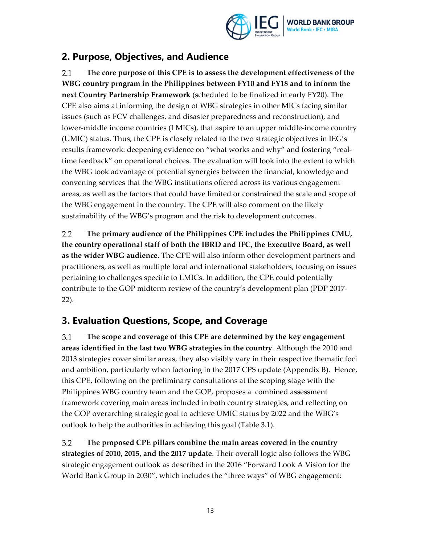

## **2. Purpose, Objectives, and Audience**

 $2.1$ **The core purpose of this CPE is to assess the development effectiveness of the WBG country program in the Philippines between FY10 and FY18 and to inform the next Country Partnership Framework** (scheduled to be finalized in early FY20). The CPE also aims at informing the design of WBG strategies in other MICs facing similar issues (such as FCV challenges, and disaster preparedness and reconstruction), and lower-middle income countries (LMICs), that aspire to an upper middle-income country (UMIC) status. Thus, the CPE is closely related to the two strategic objectives in IEG's results framework: deepening evidence on "what works and why" and fostering "real‐ time feedback" on operational choices. The evaluation will look into the extent to which the WBG took advantage of potential synergies between the financial, knowledge and convening services that the WBG institutions offered across its various engagement areas, as well as the factors that could have limited or constrained the scale and scope of the WBG engagement in the country. The CPE will also comment on the likely sustainability of the WBG's program and the risk to development outcomes.

 $2.2$ **The primary audience of the Philippines CPE includes the Philippines CMU, the country operational staff of both the IBRD and IFC, the Executive Board, as well as the wider WBG audience.** The CPE will also inform other development partners and practitioners, as well as multiple local and international stakeholders, focusing on issues pertaining to challenges specific to LMICs. In addition, the CPE could potentially contribute to the GOP midterm review of the country's development plan (PDP 2017‐ 22).

## **3. Evaluation Questions, Scope, and Coverage**

 $3.1$ **The scope and coverage of this CPE are determined by the key engagement areas identified in the last two WBG strategies in the country**. Although the 2010 and 2013 strategies cover similar areas, they also visibly vary in their respective thematic foci and ambition, particularly when factoring in the 2017 CPS update (Appendix B). Hence, this CPE, following on the preliminary consultations at the scoping stage with the Philippines WBG country team and the GOP, proposes a combined assessment framework covering main areas included in both country strategies, and reflecting on the GOP overarching strategic goal to achieve UMIC status by 2022 and the WBG's outlook to help the authorities in achieving this goal (Table 3.1).

 $3.2$ **The proposed CPE pillars combine the main areas covered in the country strategies of 2010, 2015, and the 2017 update**. Their overall logic also follows the WBG strategic engagement outlook as described in the 2016 "Forward Look A Vision for the World Bank Group in 2030", which includes the "three ways" of WBG engagement: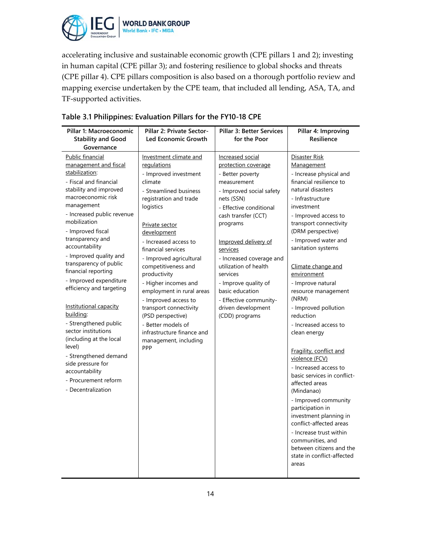

accelerating inclusive and sustainable economic growth (CPE pillars 1 and 2); investing in human capital (CPE pillar 3); and fostering resilience to global shocks and threats (CPE pillar 4). CPE pillars composition is also based on a thorough portfolio review and mapping exercise undertaken by the CPE team, that included all lending, ASA, TA, and TF‐supported activities.

| Pillar 1: Macroeconomic<br><b>Stability and Good</b><br>Governance                                                                                                                                                                                                                                                                                                                                                                                                                                                                                                                                                                      | Pillar 2: Private Sector-<br>Led Economic Growth                                                                                                                                                                                                                                                                                                                                                                                                                                                             | <b>Pillar 3: Better Services</b><br>for the Poor                                                                                                                                                                                                                                                                                                                                                     | Pillar 4: Improving<br>Resilience                                                                                                                                                                                                                                                                                                                                                                                                                                                                                                                                                                                                                                                                                                                                                             |
|-----------------------------------------------------------------------------------------------------------------------------------------------------------------------------------------------------------------------------------------------------------------------------------------------------------------------------------------------------------------------------------------------------------------------------------------------------------------------------------------------------------------------------------------------------------------------------------------------------------------------------------------|--------------------------------------------------------------------------------------------------------------------------------------------------------------------------------------------------------------------------------------------------------------------------------------------------------------------------------------------------------------------------------------------------------------------------------------------------------------------------------------------------------------|------------------------------------------------------------------------------------------------------------------------------------------------------------------------------------------------------------------------------------------------------------------------------------------------------------------------------------------------------------------------------------------------------|-----------------------------------------------------------------------------------------------------------------------------------------------------------------------------------------------------------------------------------------------------------------------------------------------------------------------------------------------------------------------------------------------------------------------------------------------------------------------------------------------------------------------------------------------------------------------------------------------------------------------------------------------------------------------------------------------------------------------------------------------------------------------------------------------|
| Public financial<br>management and fiscal<br>stabilization:<br>- Fiscal and financial<br>stability and improved<br>macroeconomic risk<br>management<br>- Increased public revenue<br>mobilization<br>- Improved fiscal<br>transparency and<br>accountability<br>- Improved quality and<br>transparency of public<br>financial reporting<br>- Improved expenditure<br>efficiency and targeting<br>Institutional capacity<br>building:<br>- Strengthened public<br>sector institutions<br>(including at the local<br>level)<br>- Strengthened demand<br>side pressure for<br>accountability<br>- Procurement reform<br>- Decentralization | Investment climate and<br>regulations<br>- Improved investment<br>climate<br>- Streamlined business<br>registration and trade<br>logistics<br>Private sector<br>development<br>- Increased access to<br>financial services<br>- Improved agricultural<br>competitiveness and<br>productivity<br>- Higher incomes and<br>employment in rural areas<br>- Improved access to<br>transport connectivity<br>(PSD perspective)<br>- Better models of<br>infrastructure finance and<br>management, including<br>PPP | Increased social<br>protection coverage<br>- Better poverty<br>measurement<br>- Improved social safety<br>nets (SSN)<br>- Effective conditional<br>cash transfer (CCT)<br>programs<br>Improved delivery of<br>services<br>- Increased coverage and<br>utilization of health<br>services<br>- Improve quality of<br>basic education<br>- Effective community-<br>driven development<br>(CDD) programs | Disaster Risk<br>Management<br>- Increase physical and<br>financial resilience to<br>natural disasters<br>- Infrastructure<br>investment<br>- Improved access to<br>transport connectivity<br>(DRM perspective)<br>- Improved water and<br>sanitation systems<br>Climate change and<br>environment<br>- Improve natural<br>resource management<br>(NRM)<br>- Improved pollution<br>reduction<br>- Increased access to<br>clean energy<br>Fragility, conflict and<br>violence (FCV)<br>- Increased access to<br>basic services in conflict-<br>affected areas<br>(Mindanao)<br>- Improved community<br>participation in<br>investment planning in<br>conflict-affected areas<br>- Increase trust within<br>communities, and<br>between citizens and the<br>state in conflict-affected<br>areas |

### **Table 3.1 Philippines: Evaluation Pillars for the FY10-18 CPE**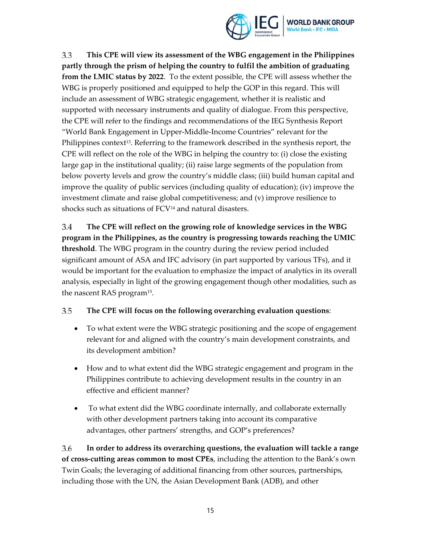

3.3 **This CPE will view its assessment of the WBG engagement in the Philippines partly through the prism of helping the country to fulfil the ambition of graduating from the LMIC status by 2022**. To the extent possible, the CPE will assess whether the WBG is properly positioned and equipped to help the GOP in this regard. This will include an assessment of WBG strategic engagement, whether it is realistic and supported with necessary instruments and quality of dialogue. From this perspective, the CPE will refer to the findings and recommendations of the IEG Synthesis Report "World Bank Engagement in Upper‐Middle‐Income Countries" relevant for the Philippines context<sup>13</sup>. Referring to the framework described in the synthesis report, the CPE will reflect on the role of the WBG in helping the country to: (i) close the existing large gap in the institutional quality; (ii) raise large segments of the population from below poverty levels and grow the country's middle class; (iii) build human capital and improve the quality of public services (including quality of education); (iv) improve the investment climate and raise global competitiveness; and (v) improve resilience to shocks such as situations of FCV14 and natural disasters.

3.4 **The CPE will reflect on the growing role of knowledge services in the WBG program in the Philippines, as the country is progressing towards reaching the UMIC threshold**. The WBG program in the country during the review period included significant amount of ASA and IFC advisory (in part supported by various TFs), and it would be important for the evaluation to emphasize the impact of analytics in its overall analysis, especially in light of the growing engagement though other modalities, such as the nascent RAS program15.

#### 3.5 **The CPE will focus on the following overarching evaluation questions**:

- To what extent were the WBG strategic positioning and the scope of engagement relevant for and aligned with the country's main development constraints, and its development ambition?
- How and to what extent did the WBG strategic engagement and program in the Philippines contribute to achieving development results in the country in an effective and efficient manner?
- To what extent did the WBG coordinate internally, and collaborate externally with other development partners taking into account its comparative advantages, other partners' strengths, and GOP's preferences?

3.6 **In order to address its overarching questions, the evaluation will tackle a range of cross‐cutting areas common to most CPEs**, including the attention to the Bank's own Twin Goals; the leveraging of additional financing from other sources, partnerships, including those with the UN, the Asian Development Bank (ADB), and other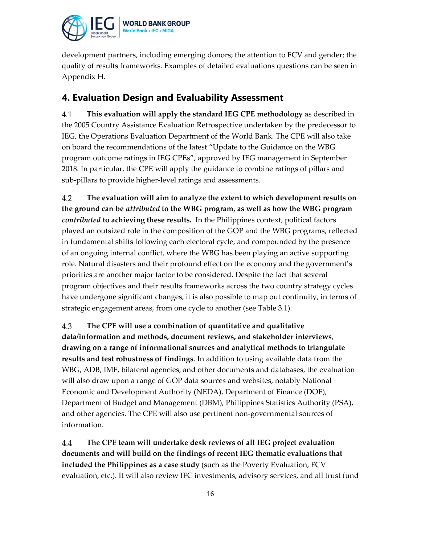

development partners, including emerging donors; the attention to FCV and gender; the quality of results frameworks. Examples of detailed evaluations questions can be seen in Appendix H.

## **4. Evaluation Design and Evaluability Assessment**

**This evaluation will apply the standard IEG CPE methodology** as described in 4.1 the 2005 Country Assistance Evaluation Retrospective undertaken by the predecessor to IEG, the Operations Evaluation Department of the World Bank. The CPE will also take on board the recommendations of the latest "Update to the Guidance on the WBG program outcome ratings in IEG CPEs", approved by IEG management in September 2018. In particular, the CPE will apply the guidance to combine ratings of pillars and sub-pillars to provide higher-level ratings and assessments.

4.2 **The evaluation will aim to analyze the extent to which development results on the ground can be** *attributed* **to the WBG program, as well as how the WBG program** *contributed* **to achieving these results.** In the Philippines context, political factors played an outsized role in the composition of the GOP and the WBG programs, reflected in fundamental shifts following each electoral cycle, and compounded by the presence of an ongoing internal conflict, where the WBG has been playing an active supporting role. Natural disasters and their profound effect on the economy and the government's priorities are another major factor to be considered. Despite the fact that several program objectives and their results frameworks across the two country strategy cycles have undergone significant changes, it is also possible to map out continuity, in terms of strategic engagement areas, from one cycle to another (see Table 3.1).

4.3 **The CPE will use a combination of quantitative and qualitative data/information and methods, document reviews, and stakeholder interviews**, **drawing on a range of informational sources and analytical methods to triangulate results and test robustness of findings**. In addition to using available data from the WBG, ADB, IMF, bilateral agencies, and other documents and databases, the evaluation will also draw upon a range of GOP data sources and websites, notably National Economic and Development Authority (NEDA), Department of Finance (DOF), Department of Budget and Management (DBM), Philippines Statistics Authority (PSA), and other agencies. The CPE will also use pertinent non‐governmental sources of information.

4.4 **The CPE team will undertake desk reviews of all IEG project evaluation documents and will build on the findings of recent IEG thematic evaluations that included the Philippines as a case study** (such as the Poverty Evaluation, FCV evaluation, etc.). It will also review IFC investments, advisory services, and all trust fund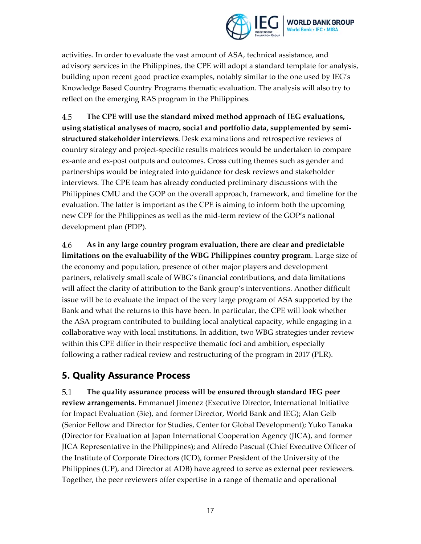

activities. In order to evaluate the vast amount of ASA, technical assistance, and advisory services in the Philippines, the CPE will adopt a standard template for analysis, building upon recent good practice examples, notably similar to the one used by IEG's Knowledge Based Country Programs thematic evaluation. The analysis will also try to reflect on the emerging RAS program in the Philippines.

4.5 **The CPE will use the standard mixed method approach of IEG evaluations, using statistical analyses of macro, social and portfolio data, supplemented by semi‐ structured stakeholder interviews**. Desk examinations and retrospective reviews of country strategy and project‐specific results matrices would be undertaken to compare ex-ante and ex-post outputs and outcomes. Cross cutting themes such as gender and partnerships would be integrated into guidance for desk reviews and stakeholder interviews. The CPE team has already conducted preliminary discussions with the Philippines CMU and the GOP on the overall approach, framework, and timeline for the evaluation. The latter is important as the CPE is aiming to inform both the upcoming new CPF for the Philippines as well as the mid-term review of the GOP's national development plan (PDP).

4.6 **As in any large country program evaluation, there are clear and predictable limitations on the evaluability of the WBG Philippines country program**. Large size of the economy and population, presence of other major players and development partners, relatively small scale of WBG's financial contributions, and data limitations will affect the clarity of attribution to the Bank group's interventions. Another difficult issue will be to evaluate the impact of the very large program of ASA supported by the Bank and what the returns to this have been. In particular, the CPE will look whether the ASA program contributed to building local analytical capacity, while engaging in a collaborative way with local institutions. In addition, two WBG strategies under review within this CPE differ in their respective thematic foci and ambition, especially following a rather radical review and restructuring of the program in 2017 (PLR).

### **5. Quality Assurance Process**

5.1 **The quality assurance process will be ensured through standard IEG peer review arrangements.** Emmanuel Jimenez (Executive Director, International Initiative for Impact Evaluation (3ie), and former Director, World Bank and IEG); Alan Gelb (Senior Fellow and Director for Studies, Center for Global Development); Yuko Tanaka (Director for Evaluation at Japan International Cooperation Agency (JICA), and former JICA Representative in the Philippines); and Alfredo Pascual (Chief Executive Officer of the Institute of Corporate Directors (ICD), former President of the University of the Philippines (UP), and Director at ADB) have agreed to serve as external peer reviewers. Together, the peer reviewers offer expertise in a range of thematic and operational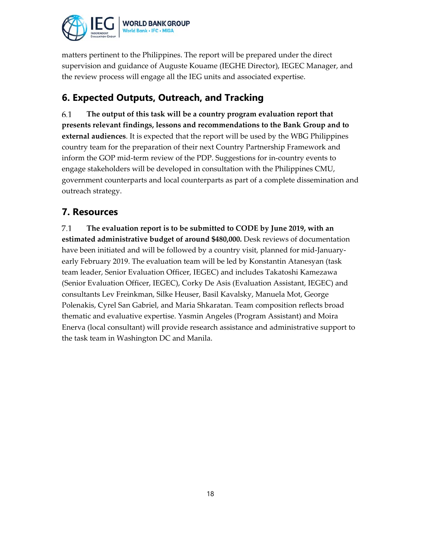

matters pertinent to the Philippines. The report will be prepared under the direct supervision and guidance of Auguste Kouame (IEGHE Director), IEGEC Manager, and the review process will engage all the IEG units and associated expertise.

## **6. Expected Outputs, Outreach, and Tracking**

**The output of this task will be a country program evaluation report that** 6.1 **presents relevant findings, lessons and recommendations to the Bank Group and to external audiences**. It is expected that the report will be used by the WBG Philippines country team for the preparation of their next Country Partnership Framework and inform the GOP mid‐term review of the PDP. Suggestions for in‐country events to engage stakeholders will be developed in consultation with the Philippines CMU, government counterparts and local counterparts as part of a complete dissemination and outreach strategy.

## **7. Resources**

 $7.1$ **The evaluation report is to be submitted to CODE by June 2019, with an estimated administrative budget of around \$480,000.** Desk reviews of documentation have been initiated and will be followed by a country visit, planned for mid‐January‐ early February 2019. The evaluation team will be led by Konstantin Atanesyan (task team leader, Senior Evaluation Officer, IEGEC) and includes Takatoshi Kamezawa (Senior Evaluation Officer, IEGEC), Corky De Asis (Evaluation Assistant, IEGEC) and consultants Lev Freinkman, Silke Heuser, Basil Kavalsky, Manuela Mot, George Polenakis, Cyrel San Gabriel, and Maria Shkaratan. Team composition reflects broad thematic and evaluative expertise. Yasmin Angeles (Program Assistant) and Moira Enerva (local consultant) will provide research assistance and administrative support to the task team in Washington DC and Manila.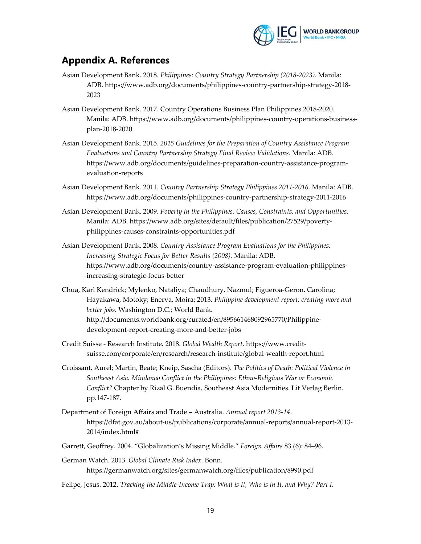

### **Appendix A. References**

- Asian Development Bank. 2018. *Philippines: Country Strategy Partnership (2018‐2023).* Manila: ADB. https://www.adb.org/documents/philippines‐country‐partnership‐strategy‐2018‐ 2023
- Asian Development Bank. 2017. Country Operations Business Plan Philippines 2018‐2020. Manila: ADB. https://www.adb.org/documents/philippines‐country‐operations‐business‐ plan‐2018‐2020
- Asian Development Bank. 2015. *2015 Guidelines for the Preparation of Country Assistance Program Evaluations and Country Partnership Strategy Final Review Validations*. Manila: ADB. https://www.adb.org/documents/guidelines‐preparation‐country‐assistance‐program‐ evaluation‐reports
- Asian Development Bank. 2011. *Country Partnership Strategy Philippines 2011‐2016.* Manila: ADB. https://www.adb.org/documents/philippines‐country‐partnership‐strategy‐2011‐2016
- Asian Development Bank. 2009. *Poverty in the Philippines. Causes, Constraints, and Opportunities.* Manila: ADB. https://www.adb.org/sites/default/files/publication/27529/poverty‐ philippines‐causes‐constraints‐opportunities.pdf
- Asian Development Bank. 2008. *Country Assistance Program Evaluations for the Philippines: Increasing Strategic Focus for Better Results (2008).* Manila: ADB. https://www.adb.org/documents/country‐assistance‐program‐evaluation‐philippines‐ increasing‐strategic‐focus‐better
- Chua, Karl Kendrick; Mylenko, Nataliya; Chaudhury, Nazmul; Figueroa‐Geron, Carolina; Hayakawa, Motoky; Enerva, Moira; 2013. *Philippine development report: creating more and better jobs*. Washington D.C.; World Bank. http://documents.worldbank.org/curated/en/895661468092965770/Philippine‐ development‐report‐creating‐more‐and‐better‐jobs
- Credit Suisse ‐ Research Institute*.* 2018*. Global Wealth Report.* https://www.credit‐ suisse.com/corporate/en/research/research‐institute/global‐wealth‐report.html
- Croissant, Aurel; Martin, Beate; Kneip, Sascha (Editors). *The Politics of Death: Political Violence in Southeast Asia. Mindanao Conflict in the Philippines: Ethno‐Religious War or Economic Conflict?* Chapter by Rizal G. Buendia*.* Southeast Asia Modernities. Lit Verlag Berlin. pp.147‐187.
- Department of Foreign Affairs and Trade Australia. *Annual report 2013‐14*. https://dfat.gov.au/about‐us/publications/corporate/annual‐reports/annual‐report‐2013‐ 2014/index.html#
- Garrett, Geoffrey. 2004. "Globalization's Missing Middle." *Foreign Affairs* 83 (6): 84–96.
- German Watch. 2013. *Global Climate Risk Index.* Bonn. https://germanwatch.org/sites/germanwatch.org/files/publication/8990.pdf
- Felipe, Jesus. 2012. *Tracking the Middle‐Income Trap: What is It, Who is in It, and Why? Part I*.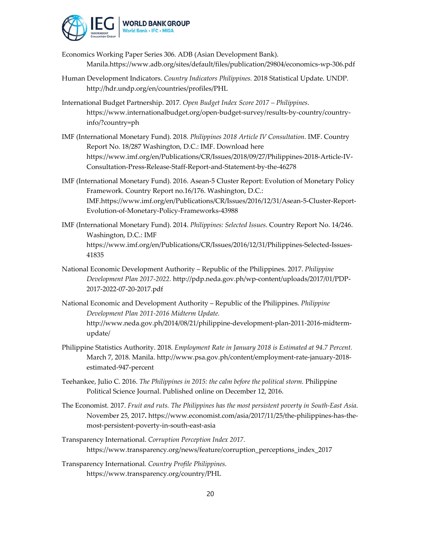

Economics Working Paper Series 306. ADB (Asian Development Bank). Manila.https://www.adb.org/sites/default/files/publication/29804/economics‐wp‐306.pdf

- Human Development Indicators. *Country Indicators Philippines.* 2018 Statistical Update. UNDP. http://hdr.undp.org/en/countries/profiles/PHL
- International Budget Partnership. 2017*. Open Budget Index Score 2017 – Philippines*. https://www.internationalbudget.org/open‐budget‐survey/results‐by‐country/country‐ info/?country=ph
- IMF (International Monetary Fund). 2018*. Philippines 2018 Article IV Consultation*. IMF. Country Report No. 18/287 Washington, D.C.: IMF. Download here https://www.imf.org/en/Publications/CR/Issues/2018/09/27/Philippines‐2018‐Article‐IV‐ Consultation‐Press‐Release‐Staff‐Report‐and‐Statement‐by‐the‐46278
- IMF (International Monetary Fund). 2016. Asean‐5 Cluster Report: Evolution of Monetary Policy Framework. Country Report no.16/176. Washington, D.C.: IMF.https://www.imf.org/en/Publications/CR/Issues/2016/12/31/Asean‐5‐Cluster‐Report‐ Evolution‐of‐Monetary‐Policy‐Frameworks‐43988
- IMF (International Monetary Fund). 2014. *Philippines: Selected Issues*. Country Report No. 14/246. Washington, D.C.: IMF https://www.imf.org/en/Publications/CR/Issues/2016/12/31/Philippines‐Selected‐Issues‐ 41835
- National Economic Development Authority Republic of the Philippines*.* 2017. *Philippine Development Plan 2017‐2022.* http://pdp.neda.gov.ph/wp‐content/uploads/2017/01/PDP‐ 2017‐2022‐07‐20‐2017.pdf
- National Economic and Development Authority Republic of the Philippines. *Philippine Development Plan 2011‐2016 Midterm Update.* http://www.neda.gov.ph/2014/08/21/philippine‐development‐plan‐2011‐2016‐midterm‐ update/
- Philippine Statistics Authority. 2018. *Employment Rate in January 2018 is Estimated at 94.7 Percent.* March 7, 2018. Manila. http://www.psa.gov.ph/content/employment‐rate‐january‐2018‐ estimated‐947‐percent
- Teehankee, Julio C. 2016. *The Philippines in 2015: the calm before the political storm.* Philippine Political Science Journal. Published online on December 12, 2016.
- The Economist*.* 2017. *Fruit and ruts. The Philippines has the most persistent poverty in South‐East Asia*. November 25, 2017*.* https://www.economist.com/asia/2017/11/25/the‐philippines‐has‐the‐ most‐persistent‐poverty‐in‐south‐east‐asia
- Transparency International. *Corruption Perception Index 2017.* https://www.transparency.org/news/feature/corruption\_perceptions\_index\_2017
- Transparency International*. Country Profile Philippines*. https://www.transparency.org/country/PHL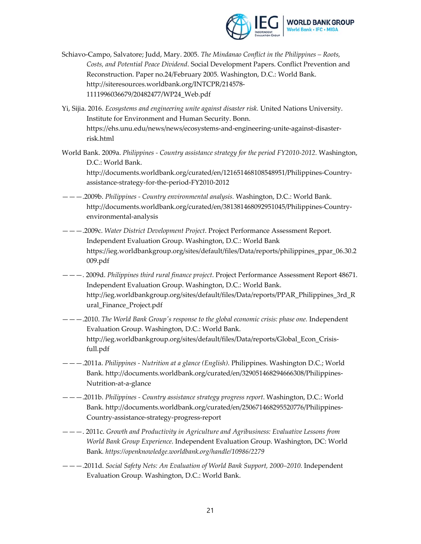

- Schiavo‐Campo, Salvatore; Judd, Mary. 2005. *The Mindanao Conflict in the Philippines – Roots, Costs, and Potential Peace Dividend*. Social Development Papers. Conflict Prevention and Reconstruction. Paper no.24/February 2005. Washington, D.C.: World Bank. http://siteresources.worldbank.org/INTCPR/214578‐ 1111996036679/20482477/WP24\_Web.pdf
- Yi, Sijia. 2016. *Ecosystems and engineering unite against disaster risk.* United Nations University. Institute for Environment and Human Security. Bonn. https://ehs.unu.edu/news/news/ecosystems‐and‐engineering‐unite‐against‐disaster‐ risk.html
- World Bank. 2009a. *Philippines ‐ Country assistance strategy for the period FY2010‐2012.* Washington, D.C.: World Bank.

http://documents.worldbank.org/curated/en/121651468108548951/Philippines‐Country‐ assistance‐strategy‐for‐the‐period‐FY2010‐2012

- ———.2009b. *Philippines ‐ Country environmental analysis.* Washington, D.C.: World Bank. http://documents.worldbank.org/curated/en/381381468092951045/Philippines‐Country‐ environmental‐analysis
- ———.2009c. *Water District Development Project*. Project Performance Assessment Report. Independent Evaluation Group. Washington, D.C.: World Bank https://ieg.worldbankgroup.org/sites/default/files/Data/reports/philippines\_ppar\_06.30.2 009.pdf
- ———. 2009d. *Philippines third rural finance project*. Project Performance Assessment Report 48671. Independent Evaluation Group. Washington, D.C.: World Bank. http://ieg.worldbankgroup.org/sites/default/files/Data/reports/PPAR\_Philippines\_3rd\_R ural\_Finance\_Project.pdf
- ———.2010. *The World Bank Groupʹs response to the global economic crisis: phase one.* Independent Evaluation Group. Washington, D.C.: World Bank. http://ieg.worldbankgroup.org/sites/default/files/Data/reports/Global\_Econ\_Crisis‐ full.pdf
- ———.2011a. *Philippines ‐ Nutrition at a glance (English)*. Philippines. Washington D.C.; World Bank. http://documents.worldbank.org/curated/en/329051468294666308/Philippines‐ Nutrition‐at‐a‐glance
- ———.2011b. *Philippines ‐ Country assistance strategy progress report*. Washington, D.C.: World Bank. http://documents.worldbank.org/curated/en/250671468295520776/Philippines‐ Country‐assistance‐strategy‐progress‐report
- ———. 2011c. *Growth and Productivity in Agriculture and Agribusiness: Evaluative Lessons from World Bank Group Experience*. Independent Evaluation Group. Washington, DC: World Bank*. https://openknowledge.worldbank.org/handle/10986/2279*
- ———.2011d. *Social Safety Nets: An Evaluation of World Bank Support, 2000–2010.* Independent Evaluation Group*.* Washington, D.C.: World Bank.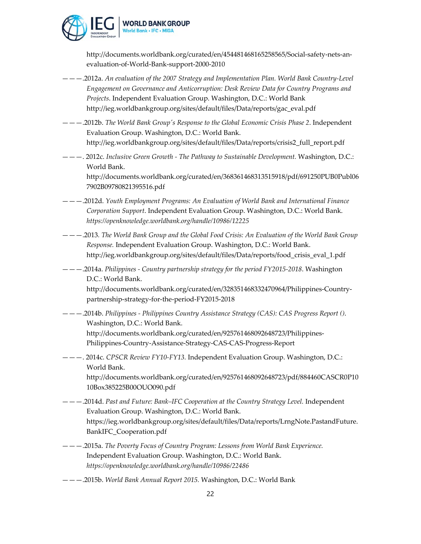

http://documents.worldbank.org/curated/en/454481468165258565/Social-safety-nets-anevaluation‐of‐World‐Bank‐support‐2000‐2010

- ———.2012a. *An evaluation of the 2007 Strategy and Implementation Plan. World Bank Country‐Level Engagement on Governance and Anticorruption: Desk Review Data for Country Programs and Projects*. Independent Evaluation Group. Washington, D.C.: World Bank http://ieg.worldbankgroup.org/sites/default/files/Data/reports/gac\_eval.pdf
- ———.2012b. *The World Bank Groupʹs Response to the Global Economic Crisis Phase 2*. Independent Evaluation Group. Washington, D.C.: World Bank. http://ieg.worldbankgroup.org/sites/default/files/Data/reports/crisis2\_full\_report.pdf
- ———. 2012c. *Inclusive Green Growth ‐ The Pathway to Sustainable Development.* Washington, D.C.: World Bank.

http://documents.worldbank.org/curated/en/368361468313515918/pdf/691250PUB0Publ06 7902B09780821395516.pdf

- ———.2012d. *Youth Employment Programs: An Evaluation of World Bank and International Finance Corporation Support*. Independent Evaluation Group. Washington, D.C.: World Bank. *https://openknowledge.worldbank.org/handle/10986/12225*
- ———.2013*. The World Bank Group and the Global Food Crisis: An Evaluation of the World Bank Group Response.* Independent Evaluation Group. Washington, D.C.: World Bank. http://ieg.worldbankgroup.org/sites/default/files/Data/reports/food\_crisis\_eval\_1.pdf
- ———.2014a. *Philippines ‐ Country partnership strategy for the period FY2015‐2018*. Washington D.C.: World Bank.

http://documents.worldbank.org/curated/en/328351468332470964/Philippines‐Country‐ partnership‐strategy‐for‐the‐period‐FY2015‐2018

———.2014b. *Philippines ‐ Philippines Country Assistance Strategy (CAS): CAS Progress Report ()*. Washington, D.C.: World Bank. http://documents.worldbank.org/curated/en/925761468092648723/Philippines‐ Philippines‐Country‐Assistance‐Strategy‐CAS‐CAS‐Progress‐Report

### ———. 2014c. *CPSCR Review FY10‐FY13.* Independent Evaluation Group. Washington, D.C.: World Bank.

http://documents.worldbank.org/curated/en/925761468092648723/pdf/884460CASCR0P10 10Box385225B00OUO090.pdf

- ———.2014d. *Past and Future: Bank–IFC Cooperation at the Country Strategy Level.* Independent Evaluation Group. Washington, D.C.: World Bank. https://ieg.worldbankgroup.org/sites/default/files/Data/reports/LrngNote.PastandFuture. BankIFC\_Cooperation.pdf
- ———.2015a. *The Poverty Focus of Country Program: Lessons from World Bank Experience.* Independent Evaluation Group. Washington, D.C.: World Bank. *https://openknowledge.worldbank.org/handle/10986/22486*
- ———.2015b. *World Bank Annual Report 2015.* Washington, D.C.: World Bank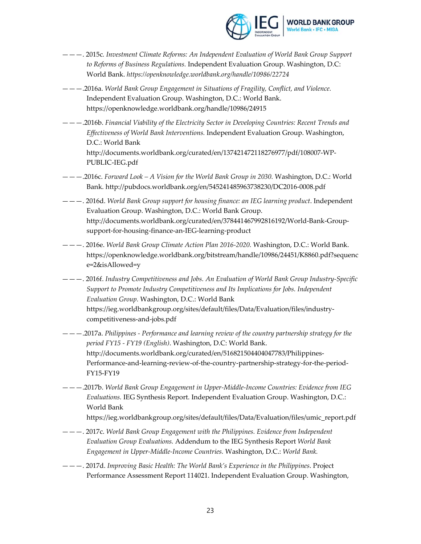

- ———. 2015c*. Investment Climate Reforms: An Independent Evaluation of World Bank Group Support to Reforms of Business Regulations.* Independent Evaluation Group. Washington, D.C: World Bank. *https://openknowledge.worldbank.org/handle/10986/22724*
- ———.2016a. *World Bank Group Engagement in Situations of Fragility, Conflict, and Violence.* Independent Evaluation Group. Washington, D.C.: World Bank. https://openknowledge.worldbank.org/handle/10986/24915
- ———.2016b. *Financial Viability of the Electricity Sector in Developing Countries: Recent Trends and Effectiveness of World Bank Interventions.* Independent Evaluation Group. Washington, D.C.: World Bank http://documents.worldbank.org/curated/en/137421472118276977/pdf/108007‐WP‐ PUBLIC‐IEG.pdf
- ———.2016c. *Forward Look – A Vision for the World Bank Group in 2030.* Washington, D.C.: World Bank. http://pubdocs.worldbank.org/en/545241485963738230/DC2016‐0008.pdf
- ———. 2016d. *World Bank Group support for housing finance: an IEG learning product*. Independent Evaluation Group. Washington, D.C.: World Bank Group. http://documents.worldbank.org/curated/en/378441467992816192/World‐Bank‐Group‐ support‐for‐housing‐finance‐an‐IEG‐learning‐product
- ———. 2016e. *World Bank Group Climate Action Plan 2016‐2020.* Washington, D.C.: World Bank. https://openknowledge.worldbank.org/bitstream/handle/10986/24451/K8860.pdf?sequenc e=2&isAllowed=y
- ———. 2016f. *Industry Competitiveness and Jobs. An Evaluation of World Bank Group Industry‐Specific Support to Promote Industry Competitiveness and Its Implications for Jobs. Independent Evaluation Group.* Washington, D.C.: World Bank https://ieg.worldbankgroup.org/sites/default/files/Data/Evaluation/files/industry‐ competitiveness‐and‐jobs.pdf
- ———.2017a. *Philippines ‐ Performance and learning review of the country partnership strategy for the period FY15 ‐ FY19 (English)*. Washington, D.C: World Bank. http://documents.worldbank.org/curated/en/516821504404047783/Philippines‐ Performance-and-learning-review-of-the-country-partnership-strategy-for-the-period-FY15‐FY19
- ———.2017b. *World Bank Group Engagement in Upper‐Middle‐Income Countries: Evidence from IEG Evaluations.* IEG Synthesis Report. Independent Evaluation Group. Washington, D.C.: World Bank
	- https://ieg.worldbankgroup.org/sites/default/files/Data/Evaluation/files/umic\_report.pdf
- ———. 2017c. *World Bank Group Engagement with the Philippines. Evidence from Independent Evaluation Group Evaluations.* Addendum to the IEG Synthesis Report *World Bank Engagement in Upper‐Middle‐Income Countries.* Washington, D.C.: *World Bank.*
- ———. 2017d. *Improving Basic Health: The World Bank's Experience in the Philippines*. Project Performance Assessment Report 114021. Independent Evaluation Group. Washington,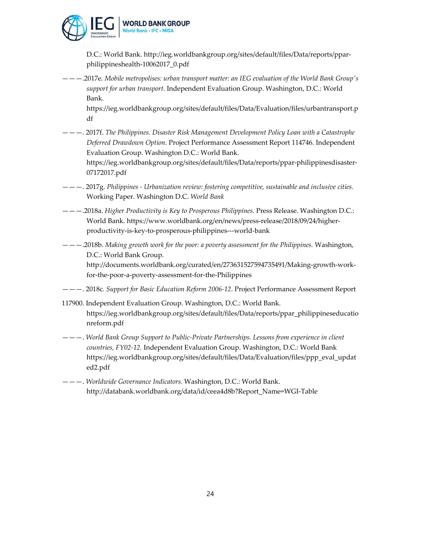

D.C.: World Bank. http://ieg.worldbankgroup.org/sites/default/files/Data/reports/ppar‐ philippineshealth‐10062017\_0.pdf

———.2017e. *Mobile metropolises: urban transport matter: an IEG evaluation of the World Bank Groupʹs support for urban transport*. Independent Evaluation Group. Washington, D.C.: World Bank.

https://ieg.worldbankgroup.org/sites/default/files/Data/Evaluation/files/urbantransport.p df

———. 2017f. *The Philippines. Disaster Risk Management Development Policy Loan with a Catastrophe Deferred Drawdown Option*. Project Performance Assessment Report 114746. Independent Evaluation Group. Washington D.C.: World Bank.

https://ieg.worldbankgroup.org/sites/default/files/Data/reports/ppar‐philippinesdisaster‐ 07172017.pdf

- ———. 2017g. *Philippines ‐ Urbanization review: fostering competitive, sustainable and inclusive cities.* Working Paper. Washington D.C. *World Bank*
- ———.2018a. *Higher Productivity is Key to Prosperous Philippines*. Press Release. Washington D.C.: World Bank. https://www.worldbank.org/en/news/press-release/2018/09/24/higherproductivity‐is‐key‐to‐prosperous‐philippines‐‐‐world‐bank
- ———.2018b. *Making growth work for the poor: a poverty assessment for the Philippines.* Washington, D.C.: World Bank Group.

http://documents.worldbank.org/curated/en/273631527594735491/Making‐growth‐work‐ for‐the‐poor‐a‐poverty‐assessment‐for‐the‐Philippines

- ———. 2018c*. Support for Basic Education Reform 2006‐12*. Project Performance Assessment Report
- 117900. Independent Evaluation Group. Washington, D.C.: World Bank. https://ieg.worldbankgroup.org/sites/default/files/Data/reports/ppar\_philippineseducatio nreform.pdf
- ———. *World Bank Group Support to Public‐Private Partnerships. Lessons from experience in client countries, FY02‐12.* Independent Evaluation Group. Washington, D.C.: World Bank https://ieg.worldbankgroup.org/sites/default/files/Data/Evaluation/files/ppp\_eval\_updat ed2.pdf
- ———. *Worldwide Governance Indicators.* Washington, D.C.: World Bank. http://databank.worldbank.org/data/id/ceea4d8b?Report\_Name=WGI‐Table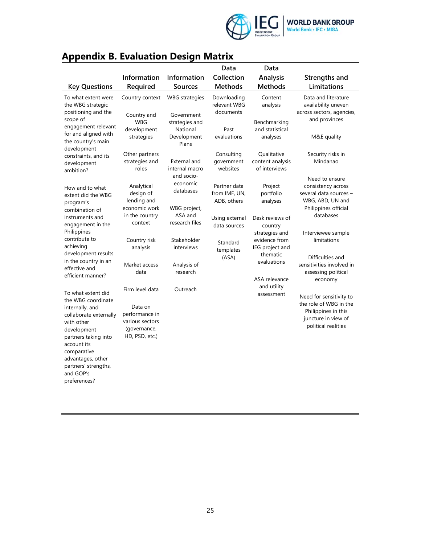

# **Appendix B. Evaluation Design Matrix**

|                                                                                                                                                                          |                                                                                                   |                                                         | Data                                         | Data                                                           |                                                                                                                        |
|--------------------------------------------------------------------------------------------------------------------------------------------------------------------------|---------------------------------------------------------------------------------------------------|---------------------------------------------------------|----------------------------------------------|----------------------------------------------------------------|------------------------------------------------------------------------------------------------------------------------|
|                                                                                                                                                                          | Information                                                                                       | Information                                             | Collection                                   | <b>Analysis</b>                                                | Strengths and                                                                                                          |
| <b>Key Questions</b>                                                                                                                                                     | Required                                                                                          | <b>Sources</b>                                          | <b>Methods</b>                               | <b>Methods</b>                                                 | Limitations                                                                                                            |
| To what extent were<br>the WBG strategic<br>positioning and the                                                                                                          | Country context                                                                                   | <b>WBG</b> strategies                                   | Downloading<br>relevant WBG<br>documents     | Content<br>analysis                                            | Data and literature<br>availability uneven<br>across sectors, agencies,                                                |
| scope of<br>engagement relevant<br>for and aligned with<br>the country's main                                                                                            | Country and<br><b>WBG</b><br>development<br>strategies                                            | Government<br>strategies and<br>National<br>Development | Past<br>evaluations                          | Benchmarking<br>and statistical<br>analyses                    | and provinces<br>M&E quality                                                                                           |
| development<br>constraints, and its<br>development<br>ambition?                                                                                                          | Other partners<br>strategies and<br>roles                                                         | Plans<br>External and<br>internal macro<br>and socio-   | Consulting<br>government<br>websites         | Qualitative<br>content analysis<br>of interviews               | Security risks in<br>Mindanao<br>Need to ensure                                                                        |
| How and to what<br>extent did the WBG<br>program's                                                                                                                       | Analytical<br>design of<br>lending and<br>economic work                                           | economic<br>databases                                   | Partner data<br>from IMF, UN,<br>ADB, others | Project<br>portfolio<br>analyses                               | consistency across<br>several data sources -<br>WBG, ABD, UN and                                                       |
| combination of<br>instruments and<br>engagement in the                                                                                                                   | in the country<br>context                                                                         | WBG project,<br>ASA and<br>research files               | Using external<br>data sources               | Desk reviews of<br>country                                     | Philippines official<br>databases                                                                                      |
| Philippines<br>contribute to<br>achieving<br>development results                                                                                                         | Country risk<br>analysis                                                                          | Stakeholder<br>interviews                               | Standard<br>templates                        | strategies and<br>evidence from<br>IEG project and<br>thematic | Interviewee sample<br>limitations                                                                                      |
| in the country in an<br>effective and<br>efficient manner?                                                                                                               | Market access<br>data                                                                             | Analysis of<br>research                                 | (ASA)                                        | evaluations<br>ASA relevance                                   | Difficulties and<br>sensitivities involved in<br>assessing political<br>economy                                        |
| To what extent did<br>the WBG coordinate<br>internally, and<br>collaborate externally<br>with other<br>development<br>partners taking into<br>account its<br>comparative | Firm level data<br>Data on<br>performance in<br>various sectors<br>(governance,<br>HD, PSD, etc.) | Outreach                                                |                                              | and utility<br>assessment                                      | Need for sensitivity to<br>the role of WBG in the<br>Philippines in this<br>juncture in view of<br>political realities |
| advantages, other<br>partners' strengths,<br>and GOP's<br>preferences?                                                                                                   |                                                                                                   |                                                         |                                              |                                                                |                                                                                                                        |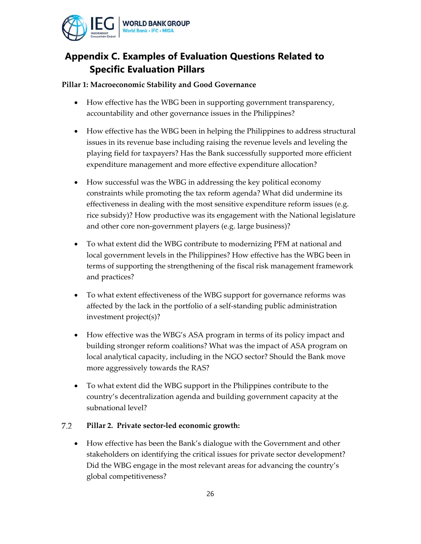

# **Appendix C. Examples of Evaluation Questions Related to Specific Evaluation Pillars**

### **Pillar 1: Macroeconomic Stability and Good Governance**

- How effective has the WBG been in supporting government transparency, accountability and other governance issues in the Philippines?
- How effective has the WBG been in helping the Philippines to address structural issues in its revenue base including raising the revenue levels and leveling the playing field for taxpayers? Has the Bank successfully supported more efficient expenditure management and more effective expenditure allocation?
- How successful was the WBG in addressing the key political economy constraints while promoting the tax reform agenda? What did undermine its effectiveness in dealing with the most sensitive expenditure reform issues (e.g. rice subsidy)? How productive was its engagement with the National legislature and other core non‐government players (e.g. large business)?
- To what extent did the WBG contribute to modernizing PFM at national and local government levels in the Philippines? How effective has the WBG been in terms of supporting the strengthening of the fiscal risk management framework and practices?
- To what extent effectiveness of the WBG support for governance reforms was affected by the lack in the portfolio of a self‐standing public administration investment project(s)?
- How effective was the WBG's ASA program in terms of its policy impact and building stronger reform coalitions? What was the impact of ASA program on local analytical capacity, including in the NGO sector? Should the Bank move more aggressively towards the RAS?
- To what extent did the WBG support in the Philippines contribute to the country's decentralization agenda and building government capacity at the subnational level?

#### 7.2 **Pillar 2. Private sector‐led economic growth:**

 How effective has been the Bank's dialogue with the Government and other stakeholders on identifying the critical issues for private sector development? Did the WBG engage in the most relevant areas for advancing the country's global competitiveness?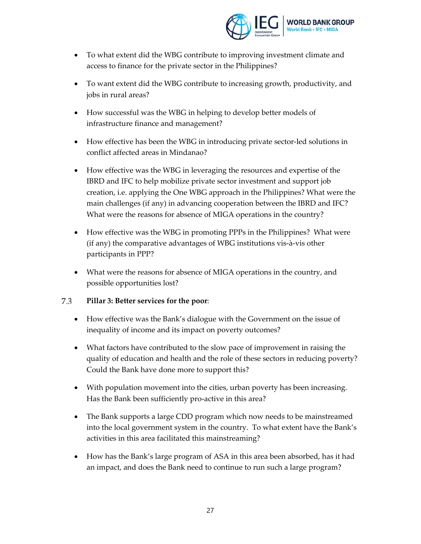

- To what extent did the WBG contribute to improving investment climate and access to finance for the private sector in the Philippines?
- To want extent did the WBG contribute to increasing growth, productivity, and jobs in rural areas?
- How successful was the WBG in helping to develop better models of infrastructure finance and management?
- How effective has been the WBG in introducing private sector-led solutions in conflict affected areas in Mindanao?
- How effective was the WBG in leveraging the resources and expertise of the IBRD and IFC to help mobilize private sector investment and support job creation, i.e. applying the One WBG approach in the Philippines? What were the main challenges (if any) in advancing cooperation between the IBRD and IFC? What were the reasons for absence of MIGA operations in the country?
- How effective was the WBG in promoting PPPs in the Philippines? What were (if any) the comparative advantages of WBG institutions vis‐à‐vis other participants in PPP?
- What were the reasons for absence of MIGA operations in the country, and possible opportunities lost?

#### 7.3 **Pillar 3: Better services for the poor**:

- How effective was the Bank's dialogue with the Government on the issue of inequality of income and its impact on poverty outcomes?
- What factors have contributed to the slow pace of improvement in raising the quality of education and health and the role of these sectors in reducing poverty? Could the Bank have done more to support this?
- With population movement into the cities, urban poverty has been increasing. Has the Bank been sufficiently pro‐active in this area?
- The Bank supports a large CDD program which now needs to be mainstreamed into the local government system in the country. To what extent have the Bank's activities in this area facilitated this mainstreaming?
- How has the Bank's large program of ASA in this area been absorbed, has it had an impact, and does the Bank need to continue to run such a large program?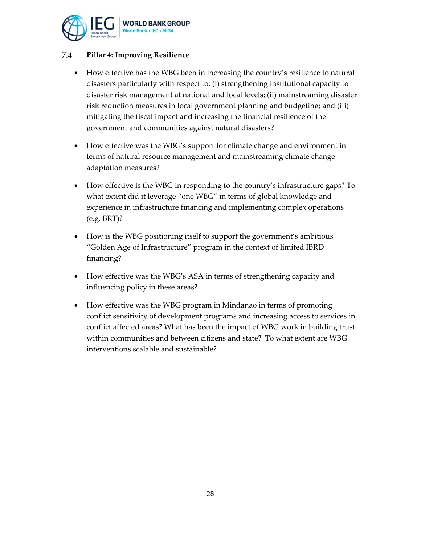

#### 7.4 **Pillar 4: Improving Resilience**

- How effective has the WBG been in increasing the country's resilience to natural disasters particularly with respect to: (i) strengthening institutional capacity to disaster risk management at national and local levels; (ii) mainstreaming disaster risk reduction measures in local government planning and budgeting; and (iii) mitigating the fiscal impact and increasing the financial resilience of the government and communities against natural disasters?
- How effective was the WBG's support for climate change and environment in terms of natural resource management and mainstreaming climate change adaptation measures?
- How effective is the WBG in responding to the country's infrastructure gaps? To what extent did it leverage "one WBG" in terms of global knowledge and experience in infrastructure financing and implementing complex operations (e.g. BRT)?
- How is the WBG positioning itself to support the government's ambitious "Golden Age of Infrastructure" program in the context of limited IBRD financing?
- How effective was the WBG's ASA in terms of strengthening capacity and influencing policy in these areas?
- How effective was the WBG program in Mindanao in terms of promoting conflict sensitivity of development programs and increasing access to services in conflict affected areas? What has been the impact of WBG work in building trust within communities and between citizens and state? To what extent are WBG interventions scalable and sustainable?